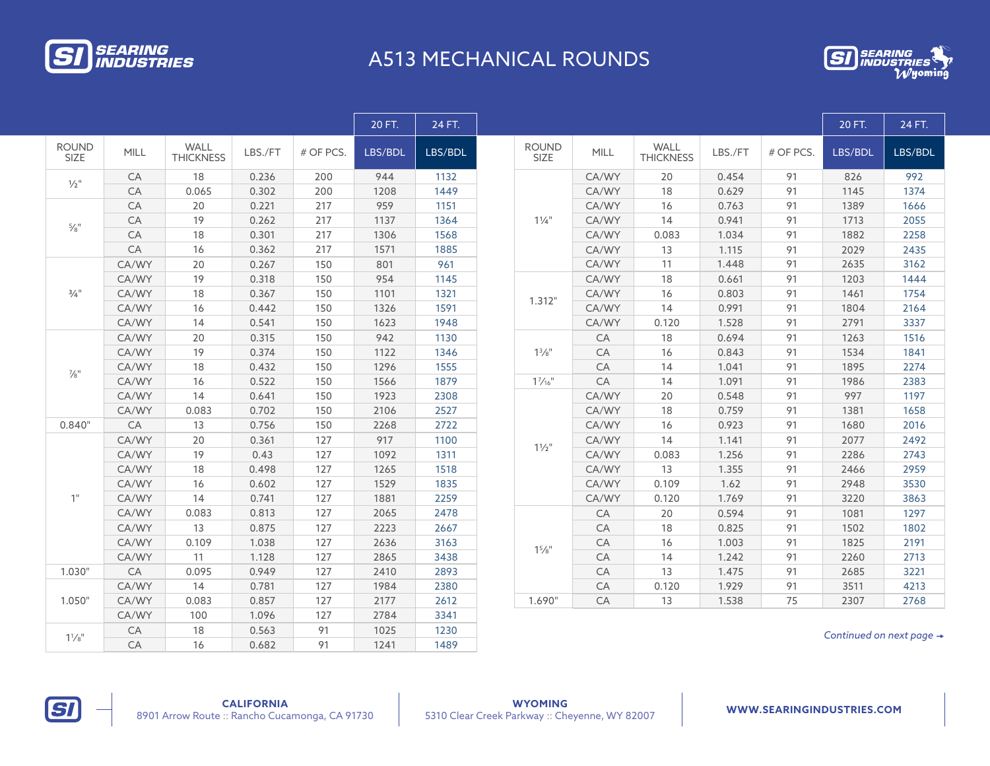

## A513 MECHANICAL ROUNDS



|                             |       |                          |         |           | 20 FT.  | 24 FT.  |  |                             |               |                          |         |           | 20 FT.                 | 24 FT.  |
|-----------------------------|-------|--------------------------|---------|-----------|---------|---------|--|-----------------------------|---------------|--------------------------|---------|-----------|------------------------|---------|
| <b>ROUND</b><br><b>SIZE</b> | MILL  | WALL<br><b>THICKNESS</b> | LBS./FT | # OF PCS. | LBS/BDL | LBS/BDL |  | <b>ROUND</b><br><b>SIZE</b> | <b>MILL</b>   | WALL<br><b>THICKNESS</b> | LBS./FT | # OF PCS. | LBS/BDL                | LBS/BDL |
| $\frac{1}{2}$ "             | CA    | 18                       | 0.236   | 200       | 944     | 1132    |  |                             | CA/WY         | 20                       | 0.454   | 91        | 826                    | 992     |
|                             | CA    | 0.065                    | 0.302   | 200       | 1208    | 1449    |  |                             | CA/WY         | 18                       | 0.629   | 91        | 1145                   | 1374    |
|                             | CA    | 20                       | 0.221   | 217       | 959     | 1151    |  |                             | CA/WY         | 16                       | 0.763   | 91        | 1389                   | 1666    |
|                             | CA    | 19                       | 0.262   | 217       | 1137    | 1364    |  | $1\frac{1}{4}$ "            | CA/WY         | 14                       | 0.941   | 91        | 1713                   | 2055    |
| $\frac{5}{8}$ <sup>11</sup> | CA    | 18                       | 0.301   | 217       | 1306    | 1568    |  |                             | CA/WY         | 0.083                    | 1.034   | 91        | 1882                   | 2258    |
|                             | CA    | 16                       | 0.362   | 217       | 1571    | 1885    |  |                             | CA/WY         | 13                       | 1.115   | 91        | 2029                   | 2435    |
|                             | CA/WY | 20                       | 0.267   | 150       | 801     | 961     |  |                             | CA/WY         | 11                       | 1.448   | 91        | 2635                   | 3162    |
|                             | CA/WY | 19                       | 0.318   | 150       | 954     | 1145    |  |                             | CA/WY         | 18                       | 0.661   | 91        | 1203                   | 1444    |
| $3/4$ <sup>11</sup>         | CA/WY | 18                       | 0.367   | 150       | 1101    | 1321    |  |                             | CA/WY         | 16                       | 0.803   | 91        | 1461                   | 1754    |
|                             | CA/WY | 16                       | 0.442   | 150       | 1326    | 1591    |  | 1.312"                      | CA/WY         | 14                       | 0.991   | 91        | 1804                   | 2164    |
|                             | CA/WY | 14                       | 0.541   | 150       | 1623    | 1948    |  |                             | CA/WY         | 0.120                    | 1.528   | 91        | 2791                   | 3337    |
|                             | CA/WY | 20                       | 0.315   | 150       | 942     | 1130    |  |                             | CA            | 18                       | 0.694   | 91        | 1263                   | 1516    |
|                             | CA/WY | 19                       | 0.374   | 150       | 1122    | 1346    |  | $1^{3}/8"$                  | CA            | 16                       | 0.843   | 91        | 1534                   | 1841    |
|                             | CA/WY | 18                       | 0.432   | 150       | 1296    | 1555    |  |                             | CA            | 14                       | 1.041   | 91        | 1895                   | 2274    |
| $\frac{7}{8}$ <sup>11</sup> | CA/WY | 16                       | 0.522   | 150       | 1566    | 1879    |  | $1\frac{7}{16}$ "           | CA            | 14                       | 1.091   | 91        | 1986                   | 2383    |
|                             | CA/WY | 14                       | 0.641   | 150       | 1923    | 2308    |  |                             | CA/WY         | 20                       | 0.548   | 91        | 997                    | 1197    |
|                             | CA/WY | 0.083                    | 0.702   | 150       | 2106    | 2527    |  |                             | CA/WY         | 18                       | 0.759   | 91        | 1381                   | 1658    |
| 0.840"                      | CA    | 13                       | 0.756   | 150       | 2268    | 2722    |  |                             | CA/WY         | 16                       | 0.923   | 91        | 1680                   | 2016    |
|                             | CA/WY | 20                       | 0.361   | 127       | 917     | 1100    |  |                             | CA/WY         | 14                       | 1.141   | 91        | 2077                   | 2492    |
|                             | CA/WY | 19                       | 0.43    | 127       | 1092    | 1311    |  | $1\frac{1}{2}$ "            | CA/WY         | 0.083                    | 1.256   | 91        | 2286                   | 2743    |
|                             | CA/WY | 18                       | 0.498   | 127       | 1265    | 1518    |  |                             | CA/WY         | 13                       | 1.355   | 91        | 2466                   | 2959    |
|                             | CA/WY | 16                       | 0.602   | 127       | 1529    | 1835    |  |                             | CA/WY         | 0.109                    | 1.62    | 91        | 2948                   | 3530    |
| 1"                          | CA/WY | 14                       | 0.741   | 127       | 1881    | 2259    |  |                             | CA/WY         | 0.120                    | 1.769   | 91        | 3220                   | 3863    |
|                             | CA/WY | 0.083                    | 0.813   | 127       | 2065    | 2478    |  |                             | CA            | 20                       | 0.594   | 91        | 1081                   | 1297    |
|                             | CA/WY | 13                       | 0.875   | 127       | 2223    | 2667    |  | CA                          | 18            | 0.825                    | 91      | 1502      | 1802                   |         |
|                             | CA/WY | 0.109                    | 1.038   | 127       | 2636    | 3163    |  | CA                          | 16            | 1.003                    | 91      | 1825      | 2191                   |         |
|                             | CA/WY | 11                       | 1.128   | 127       | 2865    | 3438    |  | 15/8"                       | CA            | 14                       | 1.242   | 91        | 2260                   | 2713    |
| 1.030"                      | CA    | 0.095                    | 0.949   | 127       | 2410    | 2893    |  |                             | CA            | 13                       | 1.475   | 91        | 2685                   | 3221    |
|                             | CA/WY | 14                       | 0.781   | 127       | 1984    | 2380    |  |                             | $\mathsf{CA}$ | 0.120                    | 1.929   | 91        | 3511                   | 4213    |
| 1.050"                      | CA/WY | 0.083                    | 0.857   | 127       | 2177    | 2612    |  | 1.690"                      | CA            | 13                       | 1.538   | 75        | 2307                   | 2768    |
|                             | CA/WY | 100                      | 1.096   | 127       | 2784    | 3341    |  |                             |               |                          |         |           |                        |         |
|                             | CA    | 18                       | 0.563   | 91        | 1025    | 1230    |  |                             |               |                          |         |           | Continued on next page |         |
| $1\frac{1}{8}$              | CA    | 16                       | 0.682   | 91        | 1241    | 1489    |  |                             |               |                          |         |           |                        |         |
|                             |       |                          |         |           |         |         |  |                             |               |                          |         |           |                        |         |

*Continued on next page*